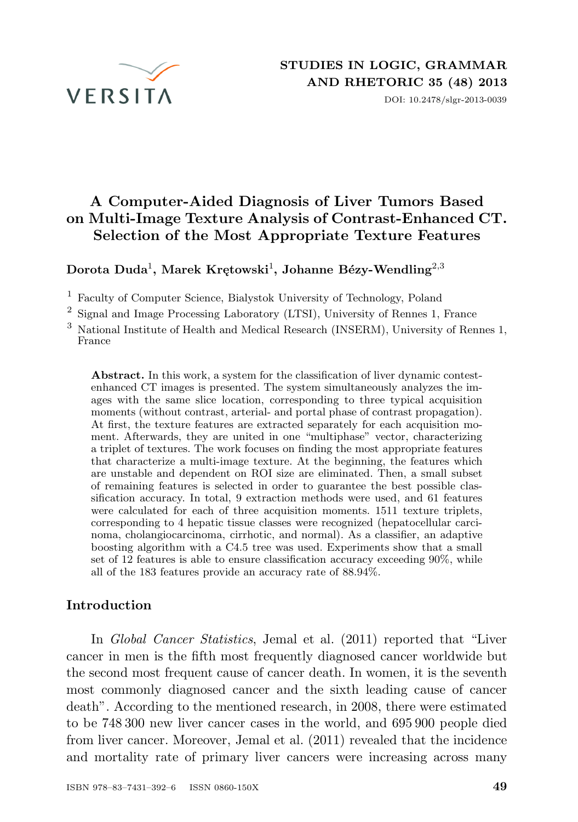

DOI: 10.2478/slgr-2013-0039

# **A Computer-Aided Diagnosis of Liver Tumors Based on Multi-Image Texture Analysis of Contrast-Enhanced CT. Selection of the Most Appropriate Texture Features**

# $\rm{Dorota\ Duda^1, \, Marek\ Krerowski^1, \, Johann\ Bézy-Wending^{2,3}}$

<sup>1</sup> Faculty of Computer Science, Bialystok University of Technology, Poland

2 Signal and Image Processing Laboratory (LTSI), University of Rennes 1, France

**Abstract.** In this work, a system for the classification of liver dynamic contestenhanced CT images is presented. The system simultaneously analyzes the images with the same slice location, corresponding to three typical acquisition moments (without contrast, arterial- and portal phase of contrast propagation). At first, the texture features are extracted separately for each acquisition moment. Afterwards, they are united in one "multiphase" vector, characterizing a triplet of textures. The work focuses on finding the most appropriate features that characterize a multi-image texture. At the beginning, the features which are unstable and dependent on ROI size are eliminated. Then, a small subset of remaining features is selected in order to guarantee the best possible classification accuracy. In total, 9 extraction methods were used, and 61 features were calculated for each of three acquisition moments. 1511 texture triplets, corresponding to 4 hepatic tissue classes were recognized (hepatocellular carcinoma, cholangiocarcinoma, cirrhotic, and normal). As a classifier, an adaptive boosting algorithm with a C4.5 tree was used. Experiments show that a small set of 12 features is able to ensure classification accuracy exceeding 90%, while all of the 183 features provide an accuracy rate of 88.94%.

# **Introduction**

In *Global Cancer Statistics*, Jemal et al. (2011) reported that "Liver cancer in men is the fifth most frequently diagnosed cancer worldwide but the second most frequent cause of cancer death. In women, it is the seventh most commonly diagnosed cancer and the sixth leading cause of cancer death". According to the mentioned research, in 2008, there were estimated to be 748 300 new liver cancer cases in the world, and 695 900 people died from liver cancer. Moreover, Jemal et al. (2011) revealed that the incidence and mortality rate of primary liver cancers were increasing across many

<sup>3</sup> National Institute of Health and Medical Research (INSERM), University of Rennes 1, France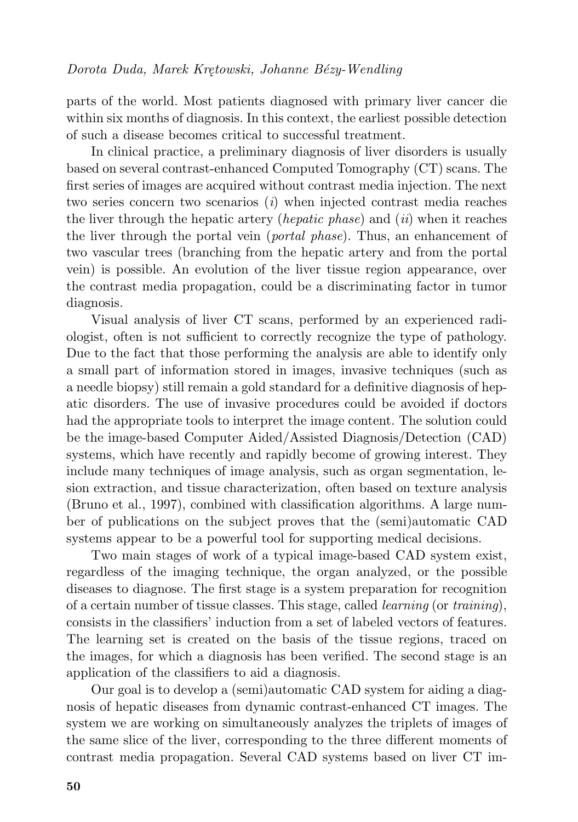parts of the world. Most patients diagnosed with primary liver cancer die within six months of diagnosis. In this context, the earliest possible detection of such a disease becomes critical to successful treatment.

In clinical practice, a preliminary diagnosis of liver disorders is usually based on several contrast-enhanced Computed Tomography (CT) scans. The first series of images are acquired without contrast media injection. The next two series concern two scenarios (*i*) when injected contrast media reaches the liver through the hepatic artery (*hepatic phase*) and (*ii*) when it reaches the liver through the portal vein (*portal phase*). Thus, an enhancement of two vascular trees (branching from the hepatic artery and from the portal vein) is possible. An evolution of the liver tissue region appearance, over the contrast media propagation, could be a discriminating factor in tumor diagnosis.

Visual analysis of liver CT scans, performed by an experienced radiologist, often is not sufficient to correctly recognize the type of pathology. Due to the fact that those performing the analysis are able to identify only a small part of information stored in images, invasive techniques (such as a needle biopsy) still remain a gold standard for a definitive diagnosis of hepatic disorders. The use of invasive procedures could be avoided if doctors had the appropriate tools to interpret the image content. The solution could be the image-based Computer Aided/Assisted Diagnosis/Detection (CAD) systems, which have recently and rapidly become of growing interest. They include many techniques of image analysis, such as organ segmentation, lesion extraction, and tissue characterization, often based on texture analysis (Bruno et al., 1997), combined with classification algorithms. A large number of publications on the subject proves that the (semi)automatic CAD systems appear to be a powerful tool for supporting medical decisions.

Two main stages of work of a typical image-based CAD system exist, regardless of the imaging technique, the organ analyzed, or the possible diseases to diagnose. The first stage is a system preparation for recognition of a certain number of tissue classes. This stage, called *learning* (or *training*), consists in the classifiers' induction from a set of labeled vectors of features. The learning set is created on the basis of the tissue regions, traced on the images, for which a diagnosis has been verified. The second stage is an application of the classifiers to aid a diagnosis.

Our goal is to develop a (semi)automatic CAD system for aiding a diagnosis of hepatic diseases from dynamic contrast-enhanced CT images. The system we are working on simultaneously analyzes the triplets of images of the same slice of the liver, corresponding to the three different moments of contrast media propagation. Several CAD systems based on liver CT im-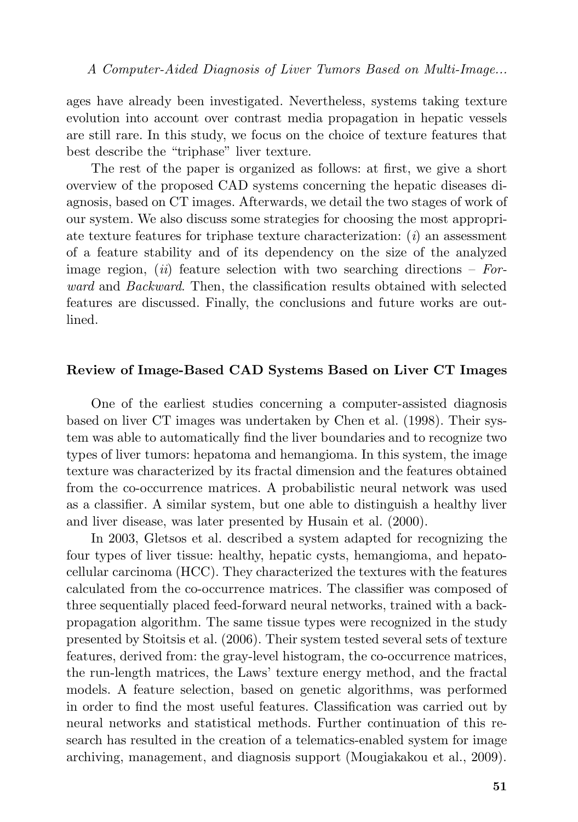ages have already been investigated. Nevertheless, systems taking texture evolution into account over contrast media propagation in hepatic vessels are still rare. In this study, we focus on the choice of texture features that best describe the "triphase" liver texture.

The rest of the paper is organized as follows: at first, we give a short overview of the proposed CAD systems concerning the hepatic diseases diagnosis, based on CT images. Afterwards, we detail the two stages of work of our system. We also discuss some strategies for choosing the most appropriate texture features for triphase texture characterization: (*i*) an assessment of a feature stability and of its dependency on the size of the analyzed image region, (*ii*) feature selection with two searching directions – *Forward* and *Backward*. Then, the classification results obtained with selected features are discussed. Finally, the conclusions and future works are outlined.

#### **Review of Image-Based CAD Systems Based on Liver CT Images**

One of the earliest studies concerning a computer-assisted diagnosis based on liver CT images was undertaken by Chen et al. (1998). Their system was able to automatically find the liver boundaries and to recognize two types of liver tumors: hepatoma and hemangioma. In this system, the image texture was characterized by its fractal dimension and the features obtained from the co-occurrence matrices. A probabilistic neural network was used as a classifier. A similar system, but one able to distinguish a healthy liver and liver disease, was later presented by Husain et al. (2000).

In 2003, Gletsos et al. described a system adapted for recognizing the four types of liver tissue: healthy, hepatic cysts, hemangioma, and hepatocellular carcinoma (HCC). They characterized the textures with the features calculated from the co-occurrence matrices. The classifier was composed of three sequentially placed feed-forward neural networks, trained with a backpropagation algorithm. The same tissue types were recognized in the study presented by Stoitsis et al. (2006). Their system tested several sets of texture features, derived from: the gray-level histogram, the co-occurrence matrices, the run-length matrices, the Laws' texture energy method, and the fractal models. A feature selection, based on genetic algorithms, was performed in order to find the most useful features. Classification was carried out by neural networks and statistical methods. Further continuation of this research has resulted in the creation of a telematics-enabled system for image archiving, management, and diagnosis support (Mougiakakou et al., 2009).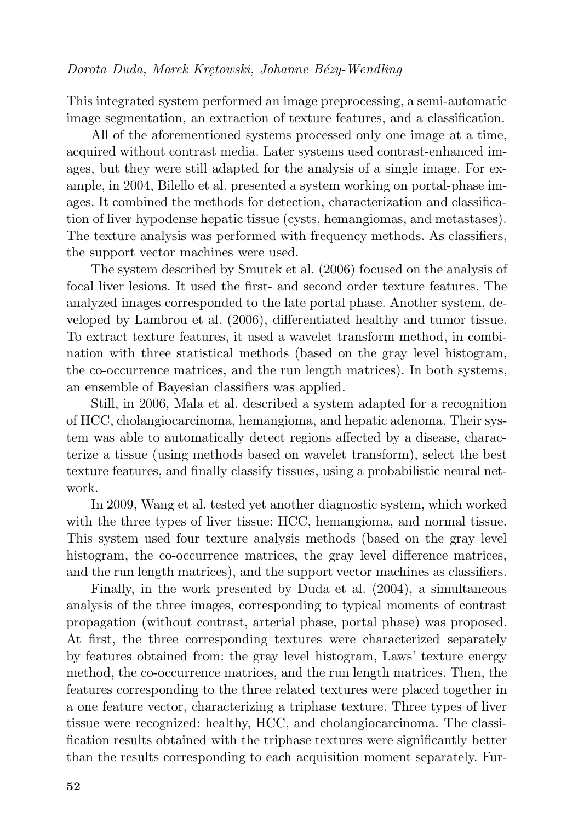This integrated system performed an image preprocessing, a semi-automatic image segmentation, an extraction of texture features, and a classification.

All of the aforementioned systems processed only one image at a time, acquired without contrast media. Later systems used contrast-enhanced images, but they were still adapted for the analysis of a single image. For example, in 2004, Bilello et al. presented a system working on portal-phase images. It combined the methods for detection, characterization and classification of liver hypodense hepatic tissue (cysts, hemangiomas, and metastases). The texture analysis was performed with frequency methods. As classifiers, the support vector machines were used.

The system described by Smutek et al. (2006) focused on the analysis of focal liver lesions. It used the first- and second order texture features. The analyzed images corresponded to the late portal phase. Another system, developed by Lambrou et al. (2006), differentiated healthy and tumor tissue. To extract texture features, it used a wavelet transform method, in combination with three statistical methods (based on the gray level histogram, the co-occurrence matrices, and the run length matrices). In both systems, an ensemble of Bayesian classifiers was applied.

Still, in 2006, Mala et al. described a system adapted for a recognition of HCC, cholangiocarcinoma, hemangioma, and hepatic adenoma. Their system was able to automatically detect regions affected by a disease, characterize a tissue (using methods based on wavelet transform), select the best texture features, and finally classify tissues, using a probabilistic neural network.

In 2009, Wang et al. tested yet another diagnostic system, which worked with the three types of liver tissue: HCC, hemangioma, and normal tissue. This system used four texture analysis methods (based on the gray level histogram, the co-occurrence matrices, the gray level difference matrices, and the run length matrices), and the support vector machines as classifiers.

Finally, in the work presented by Duda et al. (2004), a simultaneous analysis of the three images, corresponding to typical moments of contrast propagation (without contrast, arterial phase, portal phase) was proposed. At first, the three corresponding textures were characterized separately by features obtained from: the gray level histogram, Laws' texture energy method, the co-occurrence matrices, and the run length matrices. Then, the features corresponding to the three related textures were placed together in a one feature vector, characterizing a triphase texture. Three types of liver tissue were recognized: healthy, HCC, and cholangiocarcinoma. The classification results obtained with the triphase textures were significantly better than the results corresponding to each acquisition moment separately. Fur-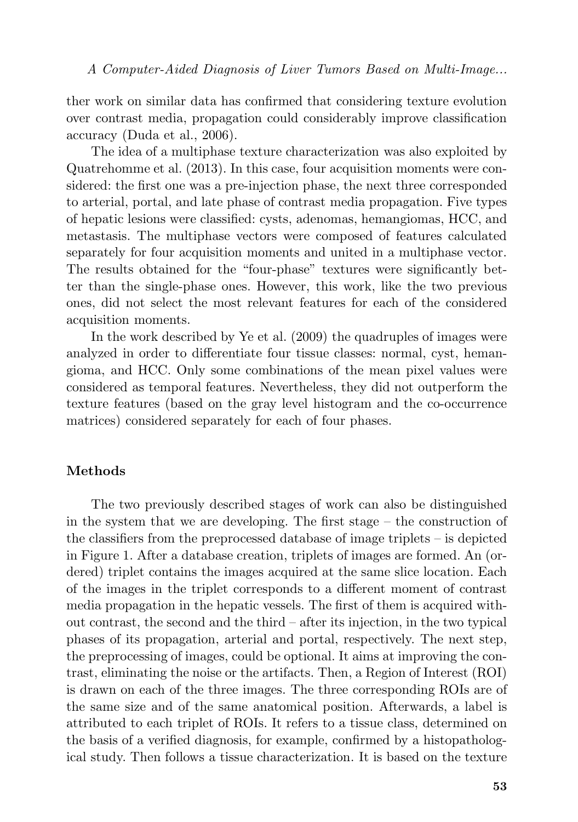ther work on similar data has confirmed that considering texture evolution over contrast media, propagation could considerably improve classification accuracy (Duda et al., 2006).

The idea of a multiphase texture characterization was also exploited by Quatrehomme et al. (2013). In this case, four acquisition moments were considered: the first one was a pre-injection phase, the next three corresponded to arterial, portal, and late phase of contrast media propagation. Five types of hepatic lesions were classified: cysts, adenomas, hemangiomas, HCC, and metastasis. The multiphase vectors were composed of features calculated separately for four acquisition moments and united in a multiphase vector. The results obtained for the "four-phase" textures were significantly better than the single-phase ones. However, this work, like the two previous ones, did not select the most relevant features for each of the considered acquisition moments.

In the work described by Ye et al. (2009) the quadruples of images were analyzed in order to differentiate four tissue classes: normal, cyst, hemangioma, and HCC. Only some combinations of the mean pixel values were considered as temporal features. Nevertheless, they did not outperform the texture features (based on the gray level histogram and the co-occurrence matrices) considered separately for each of four phases.

# **Methods**

The two previously described stages of work can also be distinguished in the system that we are developing. The first stage – the construction of the classifiers from the preprocessed database of image triplets – is depicted in Figure 1. After a database creation, triplets of images are formed. An (ordered) triplet contains the images acquired at the same slice location. Each of the images in the triplet corresponds to a different moment of contrast media propagation in the hepatic vessels. The first of them is acquired without contrast, the second and the third – after its injection, in the two typical phases of its propagation, arterial and portal, respectively. The next step, the preprocessing of images, could be optional. It aims at improving the contrast, eliminating the noise or the artifacts. Then, a Region of Interest (ROI) is drawn on each of the three images. The three corresponding ROIs are of the same size and of the same anatomical position. Afterwards, a label is attributed to each triplet of ROIs. It refers to a tissue class, determined on the basis of a verified diagnosis, for example, confirmed by a histopathological study. Then follows a tissue characterization. It is based on the texture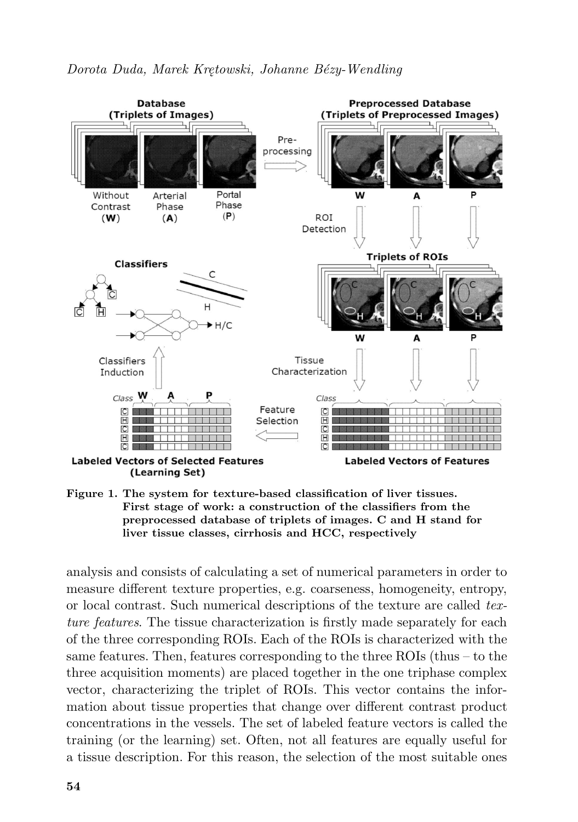



**Figure 1. The system for texture-based classification of liver tissues. First stage of work: a construction of the classifiers from the preprocessed database of triplets of images. C and H stand for liver tissue classes, cirrhosis and HCC, respectively**

analysis and consists of calculating a set of numerical parameters in order to measure different texture properties, e.g. coarseness, homogeneity, entropy, or local contrast. Such numerical descriptions of the texture are called *texture features*. The tissue characterization is firstly made separately for each of the three corresponding ROIs. Each of the ROIs is characterized with the same features. Then, features corresponding to the three ROIs (thus – to the three acquisition moments) are placed together in the one triphase complex vector, characterizing the triplet of ROIs. This vector contains the information about tissue properties that change over different contrast product concentrations in the vessels. The set of labeled feature vectors is called the training (or the learning) set. Often, not all features are equally useful for a tissue description. For this reason, the selection of the most suitable ones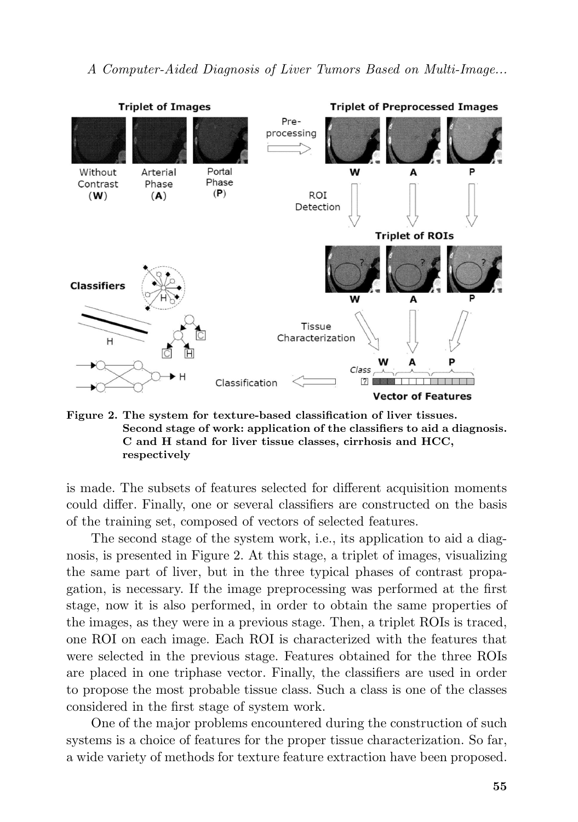

**Figure 2. The system for texture-based classification of liver tissues. Second stage of work: application of the classifiers to aid a diagnosis. C and H stand for liver tissue classes, cirrhosis and HCC, respectively**

is made. The subsets of features selected for different acquisition moments could differ. Finally, one or several classifiers are constructed on the basis of the training set, composed of vectors of selected features.

The second stage of the system work, i.e., its application to aid a diagnosis, is presented in Figure 2. At this stage, a triplet of images, visualizing the same part of liver, but in the three typical phases of contrast propagation, is necessary. If the image preprocessing was performed at the first stage, now it is also performed, in order to obtain the same properties of the images, as they were in a previous stage. Then, a triplet ROIs is traced, one ROI on each image. Each ROI is characterized with the features that were selected in the previous stage. Features obtained for the three ROIs are placed in one triphase vector. Finally, the classifiers are used in order to propose the most probable tissue class. Such a class is one of the classes considered in the first stage of system work.

One of the major problems encountered during the construction of such systems is a choice of features for the proper tissue characterization. So far, a wide variety of methods for texture feature extraction have been proposed.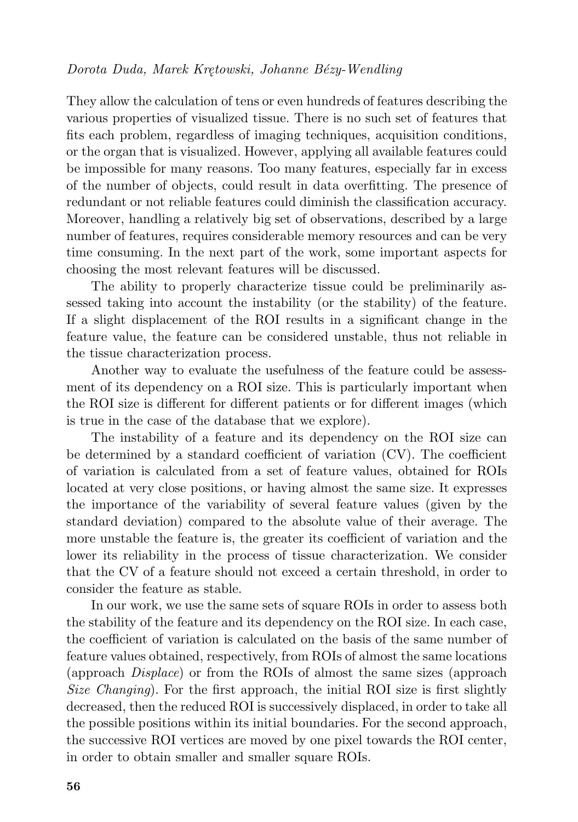# *Dorota Duda, Marek Krętowski, Johanne B´ezy-Wendling*

They allow the calculation of tens or even hundreds of features describing the various properties of visualized tissue. There is no such set of features that fits each problem, regardless of imaging techniques, acquisition conditions, or the organ that is visualized. However, applying all available features could be impossible for many reasons. Too many features, especially far in excess of the number of objects, could result in data overfitting. The presence of redundant or not reliable features could diminish the classification accuracy. Moreover, handling a relatively big set of observations, described by a large number of features, requires considerable memory resources and can be very time consuming. In the next part of the work, some important aspects for choosing the most relevant features will be discussed.

The ability to properly characterize tissue could be preliminarily assessed taking into account the instability (or the stability) of the feature. If a slight displacement of the ROI results in a significant change in the feature value, the feature can be considered unstable, thus not reliable in the tissue characterization process.

Another way to evaluate the usefulness of the feature could be assessment of its dependency on a ROI size. This is particularly important when the ROI size is different for different patients or for different images (which is true in the case of the database that we explore).

The instability of a feature and its dependency on the ROI size can be determined by a standard coefficient of variation (CV). The coefficient of variation is calculated from a set of feature values, obtained for ROIs located at very close positions, or having almost the same size. It expresses the importance of the variability of several feature values (given by the standard deviation) compared to the absolute value of their average. The more unstable the feature is, the greater its coefficient of variation and the lower its reliability in the process of tissue characterization. We consider that the CV of a feature should not exceed a certain threshold, in order to consider the feature as stable.

In our work, we use the same sets of square ROIs in order to assess both the stability of the feature and its dependency on the ROI size. In each case, the coefficient of variation is calculated on the basis of the same number of feature values obtained, respectively, from ROIs of almost the same locations (approach *Displace*) or from the ROIs of almost the same sizes (approach *Size Changing*). For the first approach, the initial ROI size is first slightly decreased, then the reduced ROI is successively displaced, in order to take all the possible positions within its initial boundaries. For the second approach, the successive ROI vertices are moved by one pixel towards the ROI center, in order to obtain smaller and smaller square ROIs.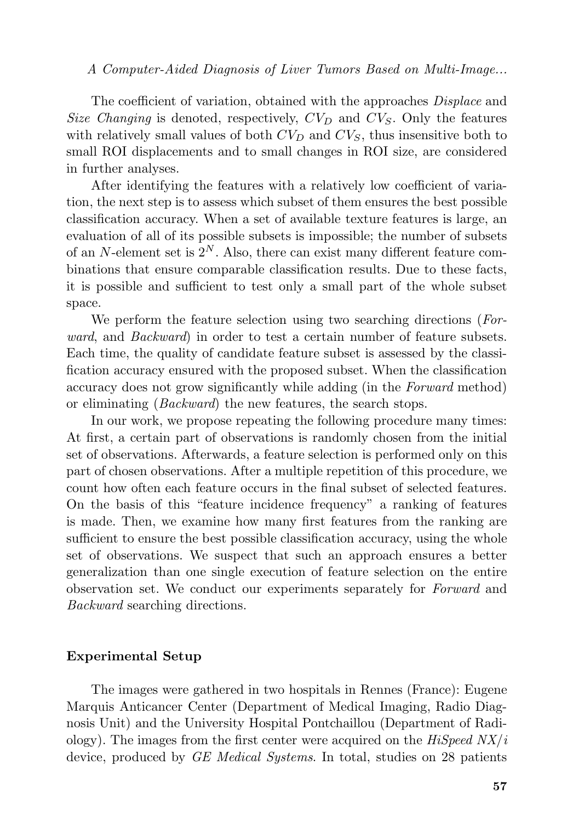The coefficient of variation, obtained with the approaches *Displace* and *Size Changing* is denoted, respectively,  $CV_D$  and  $CV_S$ . Only the features with relatively small values of both  $CV_D$  and  $CV_S$ , thus insensitive both to small ROI displacements and to small changes in ROI size, are considered in further analyses.

After identifying the features with a relatively low coefficient of variation, the next step is to assess which subset of them ensures the best possible classification accuracy. When a set of available texture features is large, an evaluation of all of its possible subsets is impossible; the number of subsets of an N-element set is  $2^N$ . Also, there can exist many different feature combinations that ensure comparable classification results. Due to these facts, it is possible and sufficient to test only a small part of the whole subset space.

We perform the feature selection using two searching directions (*Forward*, and *Backward*) in order to test a certain number of feature subsets. Each time, the quality of candidate feature subset is assessed by the classification accuracy ensured with the proposed subset. When the classification accuracy does not grow significantly while adding (in the *Forward* method) or eliminating (*Backward*) the new features, the search stops.

In our work, we propose repeating the following procedure many times: At first, a certain part of observations is randomly chosen from the initial set of observations. Afterwards, a feature selection is performed only on this part of chosen observations. After a multiple repetition of this procedure, we count how often each feature occurs in the final subset of selected features. On the basis of this "feature incidence frequency" a ranking of features is made. Then, we examine how many first features from the ranking are sufficient to ensure the best possible classification accuracy, using the whole set of observations. We suspect that such an approach ensures a better generalization than one single execution of feature selection on the entire observation set. We conduct our experiments separately for *Forward* and *Backward* searching directions.

# **Experimental Setup**

The images were gathered in two hospitals in Rennes (France): Eugene Marquis Anticancer Center (Department of Medical Imaging, Radio Diagnosis Unit) and the University Hospital Pontchaillou (Department of Radiology). The images from the first center were acquired on the *HiSpeed NX*/*i* device, produced by *GE Medical Systems*. In total, studies on 28 patients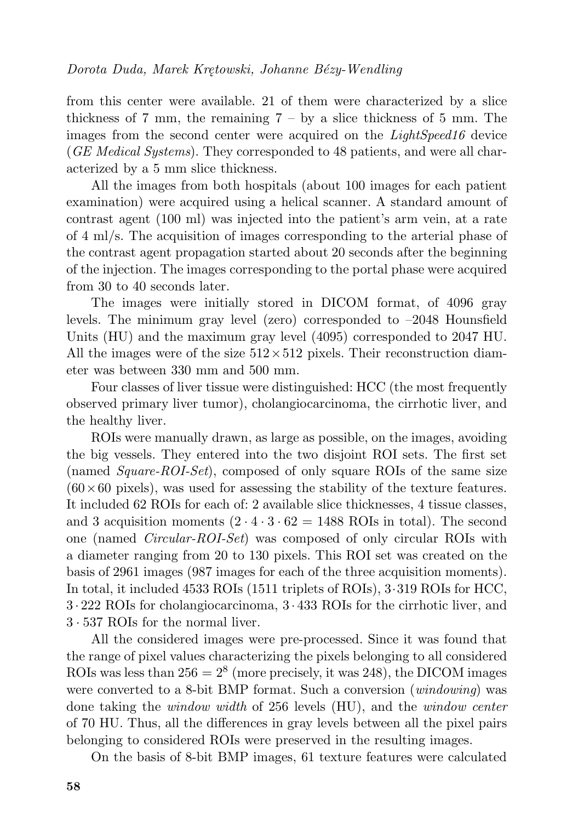from this center were available. 21 of them were characterized by a slice thickness of 7 mm, the remaining  $7 - by$  a slice thickness of 5 mm. The images from the second center were acquired on the *LightSpeed16* device (*GE Medical Systems*). They corresponded to 48 patients, and were all characterized by a 5 mm slice thickness.

All the images from both hospitals (about 100 images for each patient examination) were acquired using a helical scanner. A standard amount of contrast agent (100 ml) was injected into the patient's arm vein, at a rate of 4 ml/s. The acquisition of images corresponding to the arterial phase of the contrast agent propagation started about 20 seconds after the beginning of the injection. The images corresponding to the portal phase were acquired from 30 to 40 seconds later.

The images were initially stored in DICOM format, of 4096 gray levels. The minimum gray level (zero) corresponded to –2048 Hounsfield Units (HU) and the maximum gray level (4095) corresponded to 2047 HU. All the images were of the size  $512 \times 512$  pixels. Their reconstruction diameter was between 330 mm and 500 mm.

Four classes of liver tissue were distinguished: HCC (the most frequently observed primary liver tumor), cholangiocarcinoma, the cirrhotic liver, and the healthy liver.

ROIs were manually drawn, as large as possible, on the images, avoiding the big vessels. They entered into the two disjoint ROI sets. The first set (named *Square-ROI-Set*), composed of only square ROIs of the same size  $(60\times60)$  pixels), was used for assessing the stability of the texture features. It included 62 ROIs for each of: 2 available slice thicknesses, 4 tissue classes, and 3 acquisition moments  $(2 \cdot 4 \cdot 3 \cdot 62 = 1488 \text{ ROIs in total})$ . The second one (named *Circular-ROI-Set*) was composed of only circular ROIs with a diameter ranging from 20 to 130 pixels. This ROI set was created on the basis of 2961 images (987 images for each of the three acquisition moments). In total, it included 4533 ROIs (1511 triplets of ROIs), 3·319 ROIs for HCC, 3 · 222 ROIs for cholangiocarcinoma, 3 · 433 ROIs for the cirrhotic liver, and 3 · 537 ROIs for the normal liver.

All the considered images were pre-processed. Since it was found that the range of pixel values characterizing the pixels belonging to all considered ROIs was less than  $256 = 2^8$  (more precisely, it was 248), the DICOM images were converted to a 8-bit BMP format. Such a conversion (*windowing*) was done taking the *window width* of 256 levels (HU), and the *window center* of 70 HU. Thus, all the differences in gray levels between all the pixel pairs belonging to considered ROIs were preserved in the resulting images.

On the basis of 8-bit BMP images, 61 texture features were calculated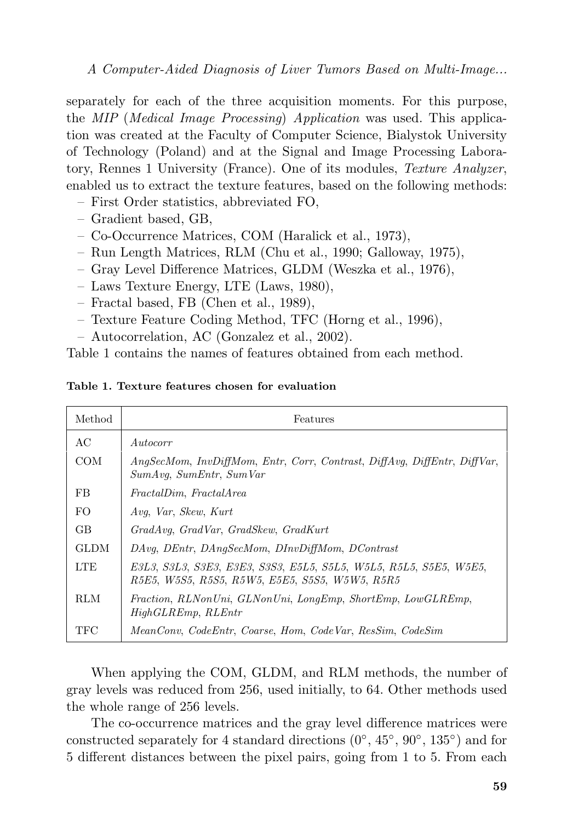separately for each of the three acquisition moments. For this purpose, the *MIP* (*Medical Image Processing*) *Application* was used. This application was created at the Faculty of Computer Science, Bialystok University of Technology (Poland) and at the Signal and Image Processing Laboratory, Rennes 1 University (France). One of its modules, *Texture Analyzer*, enabled us to extract the texture features, based on the following methods:

- First Order statistics, abbreviated FO,
- Gradient based, GB,
- Co-Occurrence Matrices, COM (Haralick et al., 1973),
- Run Length Matrices, RLM (Chu et al., 1990; Galloway, 1975),
- Gray Level Difference Matrices, GLDM (Weszka et al., 1976),
- Laws Texture Energy, LTE (Laws, 1980),
- Fractal based, FB (Chen et al., 1989),
- Texture Feature Coding Method, TFC (Horng et al., 1996),
- Autocorrelation, AC (Gonzalez et al., 2002).

Table 1 contains the names of features obtained from each method.

|  |  |  |  |  | Table 1. Texture features chosen for evaluation |
|--|--|--|--|--|-------------------------------------------------|
|--|--|--|--|--|-------------------------------------------------|

| Method      | Features                                                                                                            |  |  |  |  |
|-------------|---------------------------------------------------------------------------------------------------------------------|--|--|--|--|
| AC          | Autocorr                                                                                                            |  |  |  |  |
| COM         | AngSecMom, InvDiffMom, Entr, Corr, Contrast, DiffAvg, DiffEntr, DiffVar,<br>$SumAvg$ , $SumEntr$ , $SumVar$         |  |  |  |  |
| <b>FB</b>   | FractalDim, FractalArea                                                                                             |  |  |  |  |
| FО          | Avg. Var. Skew. Kurt                                                                                                |  |  |  |  |
| GВ          | GradAvg, GradVar, GradSkew, GradKurt                                                                                |  |  |  |  |
| <b>GLDM</b> | DAvg, DEntr, DAngSecMom, DInvDiffMom, DContrast                                                                     |  |  |  |  |
| LTE         | E3L3, S3L3, S3E3, E3E3, S3S3, E5L5, S5L5, W5L5, R5L5, S5E5, W5E5,<br>R5E5, W5S5, R5S5, R5W5, E5E5, S5S5, W5W5, R5R5 |  |  |  |  |
| <b>RLM</b>  | Fraction, $RLNonUni$ , $GLNonUni$ , $LongEmp$ , $ShortEmp$ , $LowGLREmp$ ,<br>High GLREmp, RLEntr                   |  |  |  |  |
| TFC         | MeanConv, CodeEntr, Coarse, Hom, CodeVar, ResSim, CodeSim                                                           |  |  |  |  |

When applying the COM, GLDM, and RLM methods, the number of gray levels was reduced from 256, used initially, to 64. Other methods used the whole range of 256 levels.

The co-occurrence matrices and the gray level difference matrices were constructed separately for 4 standard directions  $(0^{\circ}, 45^{\circ}, 90^{\circ}, 135^{\circ})$  and for 5 different distances between the pixel pairs, going from 1 to 5. From each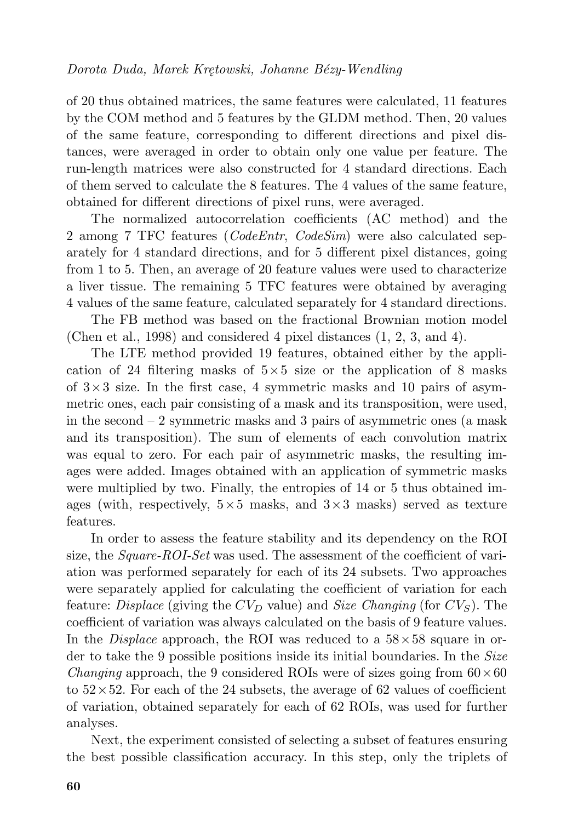of 20 thus obtained matrices, the same features were calculated, 11 features by the COM method and 5 features by the GLDM method. Then, 20 values of the same feature, corresponding to different directions and pixel distances, were averaged in order to obtain only one value per feature. The run-length matrices were also constructed for 4 standard directions. Each of them served to calculate the 8 features. The 4 values of the same feature, obtained for different directions of pixel runs, were averaged.

The normalized autocorrelation coefficients (AC method) and the 2 among 7 TFC features (*CodeEntr*, *CodeSim*) were also calculated separately for 4 standard directions, and for 5 different pixel distances, going from 1 to 5. Then, an average of 20 feature values were used to characterize a liver tissue. The remaining 5 TFC features were obtained by averaging 4 values of the same feature, calculated separately for 4 standard directions.

The FB method was based on the fractional Brownian motion model (Chen et al., 1998) and considered 4 pixel distances (1, 2, 3, and 4).

The LTE method provided 19 features, obtained either by the application of 24 filtering masks of  $5\times 5$  size or the application of 8 masks of  $3\times3$  size. In the first case, 4 symmetric masks and 10 pairs of asymmetric ones, each pair consisting of a mask and its transposition, were used, in the second  $-2$  symmetric masks and 3 pairs of asymmetric ones (a mask and its transposition). The sum of elements of each convolution matrix was equal to zero. For each pair of asymmetric masks, the resulting images were added. Images obtained with an application of symmetric masks were multiplied by two. Finally, the entropies of 14 or 5 thus obtained images (with, respectively,  $5\times 5$  masks, and  $3\times 3$  masks) served as texture features.

In order to assess the feature stability and its dependency on the ROI size, the *Square-ROI-Set* was used. The assessment of the coefficient of variation was performed separately for each of its 24 subsets. Two approaches were separately applied for calculating the coefficient of variation for each feature: *Displace* (giving the  $CV<sub>D</sub>$  value) and *Size Changing* (for  $CV<sub>S</sub>$ ). The coefficient of variation was always calculated on the basis of 9 feature values. In the *Displace* approach, the ROI was reduced to a  $58 \times 58$  square in order to take the 9 possible positions inside its initial boundaries. In the *Size Changing* approach, the 9 considered ROIs were of sizes going from  $60 \times 60$ to  $52 \times 52$ . For each of the 24 subsets, the average of 62 values of coefficient of variation, obtained separately for each of 62 ROIs, was used for further analyses.

Next, the experiment consisted of selecting a subset of features ensuring the best possible classification accuracy. In this step, only the triplets of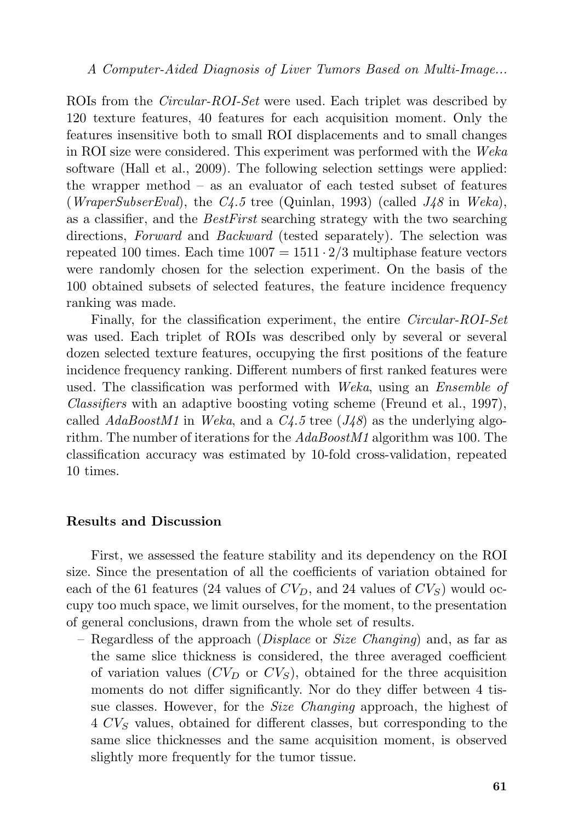ROIs from the *Circular-ROI-Set* were used. Each triplet was described by 120 texture features, 40 features for each acquisition moment. Only the features insensitive both to small ROI displacements and to small changes in ROI size were considered. This experiment was performed with the *Weka* software (Hall et al., 2009). The following selection settings were applied: the wrapper method – as an evaluator of each tested subset of features (*WraperSubserEval*), the *C4.5* tree (Quinlan, 1993) (called *J48* in *Weka*), as a classifier, and the *BestFirst* searching strategy with the two searching directions, *Forward* and *Backward* (tested separately). The selection was repeated 100 times. Each time  $1007 = 1511 \cdot 2/3$  multiphase feature vectors were randomly chosen for the selection experiment. On the basis of the 100 obtained subsets of selected features, the feature incidence frequency ranking was made.

Finally, for the classification experiment, the entire *Circular-ROI-Set* was used. Each triplet of ROIs was described only by several or several dozen selected texture features, occupying the first positions of the feature incidence frequency ranking. Different numbers of first ranked features were used. The classification was performed with *Weka*, using an *Ensemble of Classifiers* with an adaptive boosting voting scheme (Freund et al., 1997), called *AdaBoostM1* in *Weka*, and a *C4.5* tree (*J48*) as the underlying algorithm. The number of iterations for the *AdaBoostM1* algorithm was 100. The classification accuracy was estimated by 10-fold cross-validation, repeated 10 times.

# **Results and Discussion**

First, we assessed the feature stability and its dependency on the ROI size. Since the presentation of all the coefficients of variation obtained for each of the 61 features (24 values of  $CV<sub>D</sub>$ , and 24 values of  $CV<sub>S</sub>$ ) would occupy too much space, we limit ourselves, for the moment, to the presentation of general conclusions, drawn from the whole set of results.

– Regardless of the approach (*Displace* or *Size Changing*) and, as far as the same slice thickness is considered, the three averaged coefficient of variation values  $(CV_D \text{ or } CV_S)$ , obtained for the three acquisition moments do not differ significantly. Nor do they differ between 4 tissue classes. However, for the *Size Changing* approach, the highest of  $4\,CV<sub>S</sub>$  values, obtained for different classes, but corresponding to the same slice thicknesses and the same acquisition moment, is observed slightly more frequently for the tumor tissue.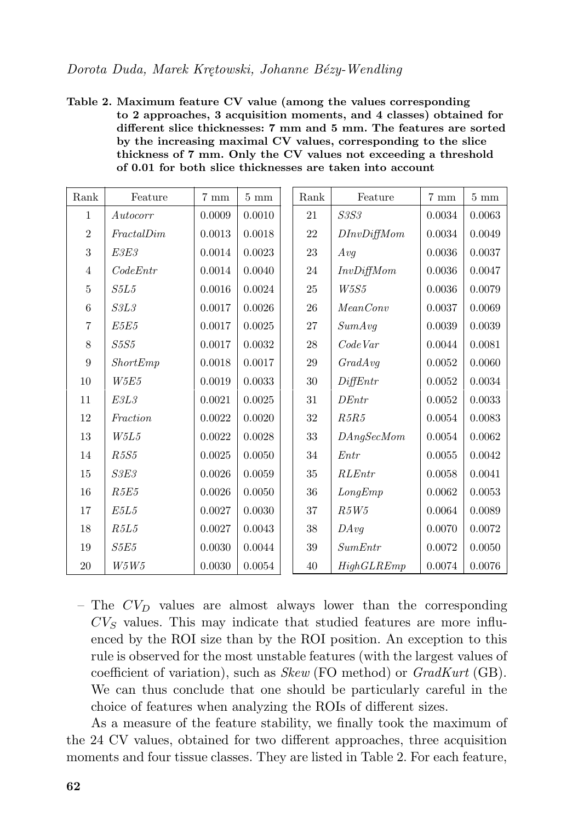# *Dorota Duda, Marek Krętowski, Johanne B´ezy-Wendling*

**Table 2. Maximum feature CV value (among the values corresponding to 2 approaches, 3 acquisition moments, and 4 classes) obtained for different slice thicknesses: 7 mm and 5 mm. The features are sorted by the increasing maximal CV values, corresponding to the slice thickness of 7 mm. Only the CV values not exceeding a threshold of 0.01 for both slice thicknesses are taken into account**

| Rank             | Feature     | $7~\mathrm{mm}$ | $5~\mathrm{mm}$ | Rank | Feature           | $7\text{ }\mathrm{mm}$ | $5~\mathrm{mm}$ |
|------------------|-------------|-----------------|-----------------|------|-------------------|------------------------|-----------------|
| $\mathbf{1}$     | Autocorr    | 0.0009          | 0.0010          | 21   | S3S3              | 0.0034                 | 0.0063          |
| $\overline{2}$   | FractalDim  | 0.0013          | 0.0018          | 22   | DInvDiffMom       | 0.0034                 | 0.0049          |
| $\sqrt{3}$       | E3E3        | 0.0014          | 0.0023          | 23   | Avg               | 0.0036                 | 0.0037          |
| $\overline{4}$   | CodeEntr    | 0.0014          | 0.0040          | 24   | <b>InvDiffMom</b> | 0.0036                 | 0.0047          |
| $\overline{5}$   | S5L5        | 0.0016          | 0.0024          | 25   | W5S5              | 0.0036                 | 0.0079          |
| $\boldsymbol{6}$ | S3L3        | 0.0017          | $0.0026\,$      | 26   | MeanConv          | $0.0037\,$             | 0.0069          |
| $\overline{7}$   | E5E5        | 0.0017          | 0.0025          | 27   | SumAvg            | 0.0039                 | 0.0039          |
| 8                | <i>S5S5</i> | 0.0017          | $\,0.0032\,$    | 28   | CodeVar           | 0.0044                 | 0.0081          |
| $\overline{9}$   | ShortEmp    | 0.0018          | 0.0017          | 29   | GradAvg           | 0.0052                 | 0.0060          |
| 10               | W5E5        | 0.0019          | 0.0033          | 30   | DiffEntr          | $0.0052\,$             | 0.0034          |
| 11               | E3L3        | 0.0021          | 0.0025          | 31   | DEntr             | 0.0052                 | 0.0033          |
| 12               | Fraction    | 0.0022          | 0.0020          | 32   | R5R5              | 0.0054                 | 0.0083          |
| 13               | W5L5        | 0.0022          | 0.0028          | 33   | DAngSecMom        | 0.0054                 | 0.0062          |
| 14               | R5S5        | 0.0025          | 0.0050          | 34   | Entr              | 0.0055                 | 0.0042          |
| 15               | S3E3        | 0.0026          | 0.0059          | 35   | RLEntr            | 0.0058                 | 0.0041          |
| 16               | R5E5        | 0.0026          | 0.0050          | 36   | LongEmp           | 0.0062                 | 0.0053          |
| 17               | E5L5        | 0.0027          | 0.0030          | 37   | R5W5              | 0.0064                 | 0.0089          |
| 18               | R5L5        | 0.0027          | 0.0043          | 38   | DAvg              | 0.0070                 | 0.0072          |
| 19               | S5E5        | 0.0030          | 0.0044          | 39   | SumEntr           | 0.0072                 | 0.0050          |
| 20               | W5W5        | 0.0030          | 0.0054          | 40   | HighGLREmp        | 0.0074                 | 0.0076          |

– The  $CV_D$  values are almost always lower than the corresponding  $CV<sub>S</sub>$  values. This may indicate that studied features are more influenced by the ROI size than by the ROI position. An exception to this rule is observed for the most unstable features (with the largest values of coefficient of variation), such as *Skew* (FO method) or *GradKurt* (GB). We can thus conclude that one should be particularly careful in the choice of features when analyzing the ROIs of different sizes.

As a measure of the feature stability, we finally took the maximum of the 24 CV values, obtained for two different approaches, three acquisition moments and four tissue classes. They are listed in Table 2. For each feature,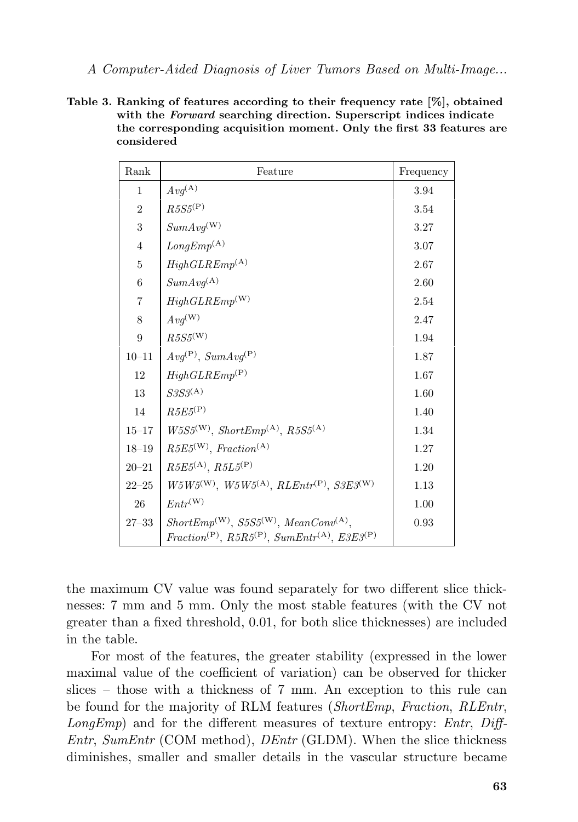- *A Computer-Aided Diagnosis of Liver Tumors Based on Multi-Image...*
- **Table 3. Ranking of features according to their frequency rate [%], obtained with the** *Forward* **searching direction. Superscript indices indicate the corresponding acquisition moment. Only the first 33 features are considered**

| Rank             | Feature                                                      | Frequency |
|------------------|--------------------------------------------------------------|-----------|
| 1                | $Avg^{(A)}$                                                  | 3.94      |
| $\overline{2}$   | $R5S5^{\rm (P)}$                                             | 3.54      |
| 3                | $SumAvg^{(W)}$                                               | 3.27      |
| $\overline{4}$   | LongEmp <sup>(A)</sup>                                       | 3.07      |
| 5                | HighGLREmp <sup>(A)</sup>                                    | 2.67      |
| $\,6$            | SumAvg <sup>(A)</sup>                                        | 2.60      |
| $\overline{7}$   | $HighGLREmp^{(\mathrm{W})}$                                  | 2.54      |
| 8                | $Avg^{(\mathrm{W})}$                                         | 2.47      |
| $\boldsymbol{9}$ | $R5S5^{\rm (W)}$                                             | 1.94      |
| $10 - 11$        | $Avg^{(P)}$ , $SumAvg^{(P)}$                                 | 1.87      |
| 12               | HighGLREmp <sup>(P)</sup>                                    | 1.67      |
| 13               | $SSS^{(A)}$                                                  | 1.60      |
| 14               | $R5E5^{\rm (P)}$                                             | 1.40      |
| $15 - 17$        | $W5S5^{(W)}$ , ShortEmp <sup>(A)</sup> , R5S5 <sup>(A)</sup> | 1.34      |
| $18 - 19$        | $R5E5^{(W)}$ , Fraction <sup>(A)</sup>                       | 1.27      |
| $20 - 21$        | $R5E5(A), R5L5(P)$                                           | 1.20      |
| $22 - 25$        | $W5W5^{(W)}, W5W5^{(A)}, RLEntr(P), S3E3^{(W)}$              | 1.13      |
| 26               | ${\cal E}ntr^{\rm (W)}$                                      | 1.00      |
| $27 - 33$        | $ShortEmp^{(W)}, S555^{(W)}, MeanConv^{(A)},$                | 0.93      |
|                  | $Fraction^{(P)}, R5R5^{(P)}, SumEnt^{(A)}, E3E3^{(P)}$       |           |

the maximum CV value was found separately for two different slice thicknesses: 7 mm and 5 mm. Only the most stable features (with the CV not greater than a fixed threshold, 0.01, for both slice thicknesses) are included in the table.

For most of the features, the greater stability (expressed in the lower maximal value of the coefficient of variation) can be observed for thicker slices – those with a thickness of 7 mm. An exception to this rule can be found for the majority of RLM features (*ShortEmp*, *Fraction*, *RLEntr*, *LongEmp*) and for the different measures of texture entropy: *Entr*, *Diff-Entr*, *SumEntr* (COM method), *DEntr* (GLDM). When the slice thickness diminishes, smaller and smaller details in the vascular structure became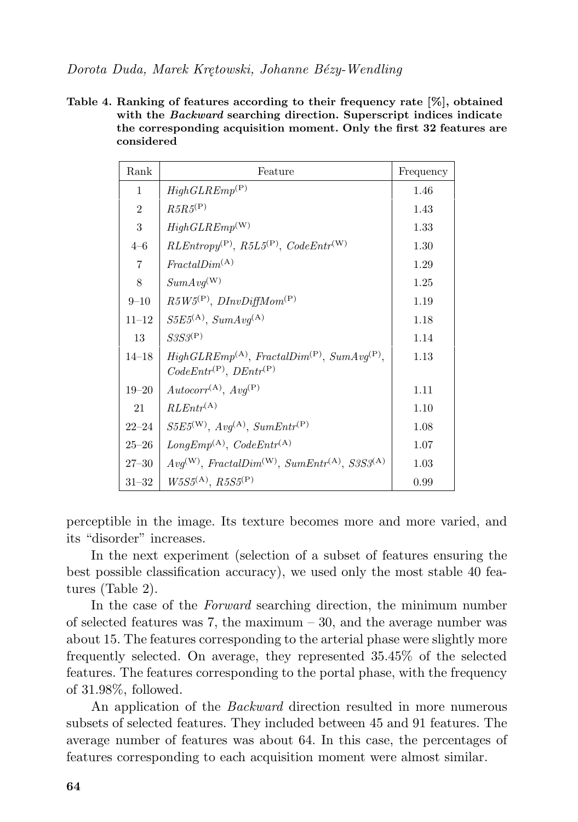*Dorota Duda, Marek Krętowski, Johanne B´ezy-Wendling*

**Table 4. Ranking of features according to their frequency rate [%], obtained with the** *Backward* **searching direction. Superscript indices indicate the corresponding acquisition moment. Only the first 32 features are considered**

| Rank           | Feature                                                                                | Frequency |
|----------------|----------------------------------------------------------------------------------------|-----------|
| $\mathbf{1}$   | $HighGLREmp^{(P)}$                                                                     | 1.46      |
| $\overline{2}$ | $R5R5^{\rm (P)}$                                                                       | 1.43      |
| 3              | $High GLREmp^{(\mathbf{W})}$                                                           | 1.33      |
| $4 - 6$        | $RLEntropy^{(P)}$ , $R5L5^{(P)}$ , $CodeEntry^{(W)}$                                   | 1.30      |
| $\overline{7}$ | FractalDim <sup>(A)</sup>                                                              | 1.29      |
| 8              | $SumAvg^{(W)}$                                                                         | 1.25      |
| $9 - 10$       | $R5W5^{(P)}$ , $DInvDiffMom^{(P)}$                                                     | 1.19      |
| $11 - 12$      | $S5E5(A)$ , $SumAvg(A)$                                                                | 1.18      |
| 13             | $SSS^{(P)}$                                                                            | 1.14      |
| $14 - 18$      | $High GLREmp(A), FractalDim(P), SumAvg(P),$<br>$CodeEntry(P), DEntr(P)$                | 1.13      |
| $19 - 20$      | $Autocorr^{(A)}, \, Avg^{(P)}$                                                         | 1.11      |
| 21             | RLEntr <sup>(A)</sup>                                                                  | 1.10      |
| $22 - 24$      | $S5E5^{(W)}$ , $Avg^{(A)}$ , $SumEntr^{(P)}$                                           | 1.08      |
| $25 - 26$      | $LongEmp^{(A)}, CodeEntr^{(A)}$                                                        | 1.07      |
| $27 - 30$      | $Avg^{(W)}$ , FractalDim <sup>(W)</sup> , SumEntr <sup>(A)</sup> , S3S3 <sup>(A)</sup> | 1.03      |
| $31 - 32$      | $W5S5^{(A)}, R5S5^{(P)}$                                                               | 0.99      |

perceptible in the image. Its texture becomes more and more varied, and its "disorder" increases.

In the next experiment (selection of a subset of features ensuring the best possible classification accuracy), we used only the most stable 40 features (Table 2).

In the case of the *Forward* searching direction, the minimum number of selected features was  $7$ , the maximum  $-30$ , and the average number was about 15. The features corresponding to the arterial phase were slightly more frequently selected. On average, they represented 35.45% of the selected features. The features corresponding to the portal phase, with the frequency of 31.98%, followed.

An application of the *Backward* direction resulted in more numerous subsets of selected features. They included between 45 and 91 features. The average number of features was about 64. In this case, the percentages of features corresponding to each acquisition moment were almost similar.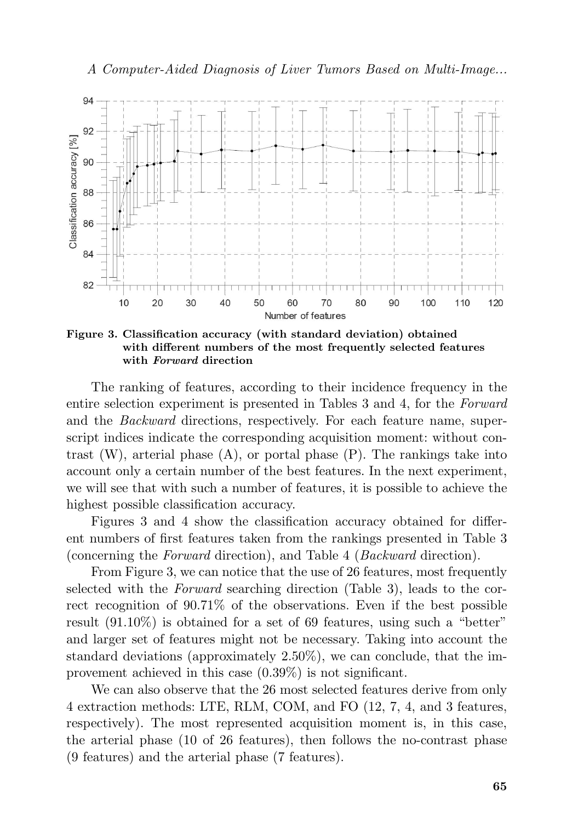

**Figure 3. Classification accuracy (with standard deviation) obtained with different numbers of the most frequently selected features with** *Forward* **direction**

The ranking of features, according to their incidence frequency in the entire selection experiment is presented in Tables 3 and 4, for the *Forward* and the *Backward* directions, respectively. For each feature name, superscript indices indicate the corresponding acquisition moment: without contrast  $(W)$ , arterial phase  $(A)$ , or portal phase  $(P)$ . The rankings take into account only a certain number of the best features. In the next experiment, we will see that with such a number of features, it is possible to achieve the highest possible classification accuracy.

Figures 3 and 4 show the classification accuracy obtained for different numbers of first features taken from the rankings presented in Table 3 (concerning the *Forward* direction), and Table 4 (*Backward* direction).

From Figure 3, we can notice that the use of 26 features, most frequently selected with the *Forward* searching direction (Table 3), leads to the correct recognition of 90.71% of the observations. Even if the best possible result (91.10%) is obtained for a set of 69 features, using such a "better" and larger set of features might not be necessary. Taking into account the standard deviations (approximately 2.50%), we can conclude, that the improvement achieved in this case (0.39%) is not significant.

We can also observe that the 26 most selected features derive from only 4 extraction methods: LTE, RLM, COM, and FO (12, 7, 4, and 3 features, respectively). The most represented acquisition moment is, in this case, the arterial phase (10 of 26 features), then follows the no-contrast phase (9 features) and the arterial phase (7 features).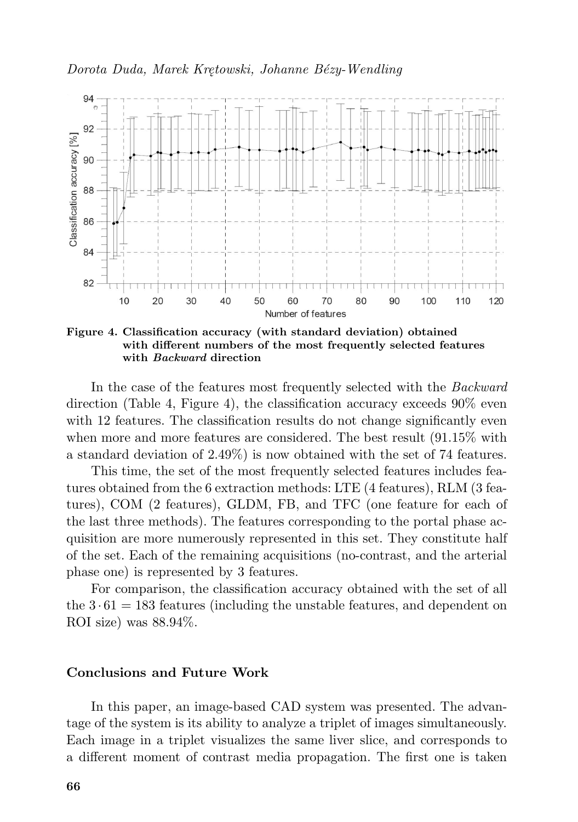*Dorota Duda, Marek Krętowski, Johanne B´ezy-Wendling*



**Figure 4. Classification accuracy (with standard deviation) obtained with different numbers of the most frequently selected features with** *Backward* **direction**

In the case of the features most frequently selected with the *Backward* direction (Table 4, Figure 4), the classification accuracy exceeds 90% even with 12 features. The classification results do not change significantly even when more and more features are considered. The best result (91.15% with a standard deviation of 2.49%) is now obtained with the set of 74 features.

This time, the set of the most frequently selected features includes features obtained from the 6 extraction methods: LTE (4 features), RLM (3 features), COM (2 features), GLDM, FB, and TFC (one feature for each of the last three methods). The features corresponding to the portal phase acquisition are more numerously represented in this set. They constitute half of the set. Each of the remaining acquisitions (no-contrast, and the arterial phase one) is represented by 3 features.

For comparison, the classification accuracy obtained with the set of all the  $3 \cdot 61 = 183$  features (including the unstable features, and dependent on ROI size) was 88.94%.

## **Conclusions and Future Work**

In this paper, an image-based CAD system was presented. The advantage of the system is its ability to analyze a triplet of images simultaneously. Each image in a triplet visualizes the same liver slice, and corresponds to a different moment of contrast media propagation. The first one is taken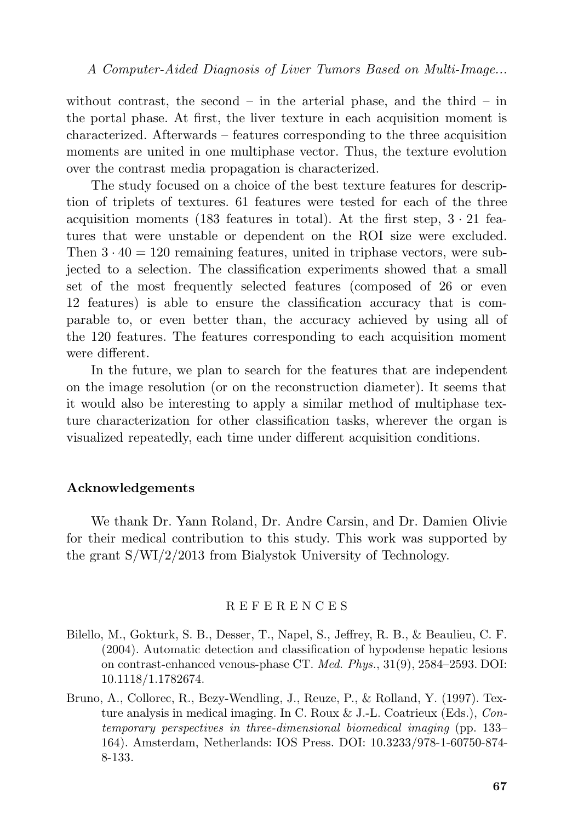without contrast, the second – in the arterial phase, and the third – in the portal phase. At first, the liver texture in each acquisition moment is characterized. Afterwards – features corresponding to the three acquisition moments are united in one multiphase vector. Thus, the texture evolution over the contrast media propagation is characterized.

The study focused on a choice of the best texture features for description of triplets of textures. 61 features were tested for each of the three acquisition moments (183 features in total). At the first step,  $3 \cdot 21$  features that were unstable or dependent on the ROI size were excluded. Then  $3 \cdot 40 = 120$  remaining features, united in triphase vectors, were subjected to a selection. The classification experiments showed that a small set of the most frequently selected features (composed of 26 or even 12 features) is able to ensure the classification accuracy that is comparable to, or even better than, the accuracy achieved by using all of the 120 features. The features corresponding to each acquisition moment were different.

In the future, we plan to search for the features that are independent on the image resolution (or on the reconstruction diameter). It seems that it would also be interesting to apply a similar method of multiphase texture characterization for other classification tasks, wherever the organ is visualized repeatedly, each time under different acquisition conditions.

### **Acknowledgements**

We thank Dr. Yann Roland, Dr. Andre Carsin, and Dr. Damien Olivie for their medical contribution to this study. This work was supported by the grant S/WI/2/2013 from Bialystok University of Technology.

### R E F E R E N C E S

- Bilello, M., Gokturk, S. B., Desser, T., Napel, S., Jeffrey, R. B., & Beaulieu, C. F. (2004). Automatic detection and classification of hypodense hepatic lesions on contrast-enhanced venous-phase CT. *Med. Phys.*, 31(9), 2584–2593. DOI: 10.1118/1.1782674.
- Bruno, A., Collorec, R., Bezy-Wendling, J., Reuze, P., & Rolland, Y. (1997). Texture analysis in medical imaging. In C. Roux & J.-L. Coatrieux (Eds.), *Contemporary perspectives in three-dimensional biomedical imaging* (pp. 133– 164). Amsterdam, Netherlands: IOS Press. DOI: 10.3233/978-1-60750-874- 8-133.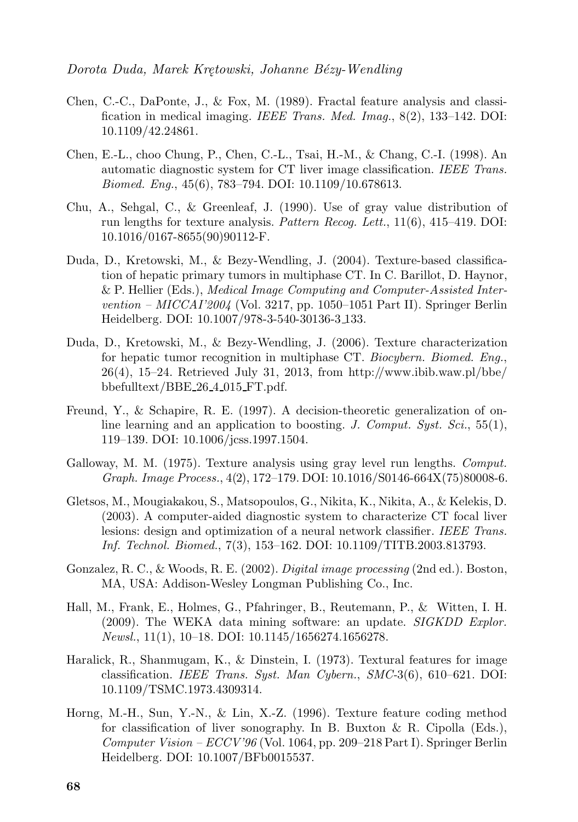*Dorota Duda, Marek Krętowski, Johanne B´ezy-Wendling*

- Chen, C.-C., DaPonte, J., & Fox, M. (1989). Fractal feature analysis and classification in medical imaging. *IEEE Trans. Med. Imag.*, 8(2), 133–142. DOI: 10.1109/42.24861.
- Chen, E.-L., choo Chung, P., Chen, C.-L., Tsai, H.-M., & Chang, C.-I. (1998). An automatic diagnostic system for CT liver image classification. *IEEE Trans. Biomed. Eng.*, 45(6), 783–794. DOI: 10.1109/10.678613.
- Chu, A., Sehgal, C., & Greenleaf, J. (1990). Use of gray value distribution of run lengths for texture analysis. *Pattern Recog. Lett.*, 11(6), 415–419. DOI: 10.1016/0167-8655(90)90112-F.
- Duda, D., Kretowski, M., & Bezy-Wendling, J. (2004). Texture-based classification of hepatic primary tumors in multiphase CT. In C. Barillot, D. Haynor, & P. Hellier (Eds.), *Medical Image Computing and Computer-Assisted Intervention – MICCAI'2004* (Vol. 3217, pp. 1050–1051 Part II). Springer Berlin Heidelberg. DOI: 10.1007/978-3-540-30136-3 133.
- Duda, D., Kretowski, M., & Bezy-Wendling, J. (2006). Texture characterization for hepatic tumor recognition in multiphase CT. *Biocybern. Biomed. Eng.*, 26(4), 15–24. Retrieved July 31, 2013, from http://www.ibib.waw.pl/bbe/ bbefulltext/BBE 26 4 015 FT.pdf.
- Freund, Y., & Schapire, R. E. (1997). A decision-theoretic generalization of online learning and an application to boosting. *J. Comput. Syst. Sci.*, 55(1), 119–139. DOI: 10.1006/jcss.1997.1504.
- Galloway, M. M. (1975). Texture analysis using gray level run lengths. *Comput. Graph. Image Process.*, 4(2), 172–179. DOI: 10.1016/S0146-664X(75)80008-6.
- Gletsos, M., Mougiakakou, S., Matsopoulos, G., Nikita, K., Nikita, A., & Kelekis, D. (2003). A computer-aided diagnostic system to characterize CT focal liver lesions: design and optimization of a neural network classifier. *IEEE Trans. Inf. Technol. Biomed.*, 7(3), 153–162. DOI: 10.1109/TITB.2003.813793.
- Gonzalez, R. C., & Woods, R. E. (2002). *Digital image processing* (2nd ed.). Boston, MA, USA: Addison-Wesley Longman Publishing Co., Inc.
- Hall, M., Frank, E., Holmes, G., Pfahringer, B., Reutemann, P., & Witten, I. H. (2009). The WEKA data mining software: an update. *SIGKDD Explor. Newsl.*, 11(1), 10–18. DOI: 10.1145/1656274.1656278.
- Haralick, R., Shanmugam, K., & Dinstein, I. (1973). Textural features for image classification. *IEEE Trans. Syst. Man Cybern.*, *SMC-*3(6), 610–621. DOI: 10.1109/TSMC.1973.4309314.
- Horng, M.-H., Sun, Y.-N., & Lin, X.-Z. (1996). Texture feature coding method for classification of liver sonography. In B. Buxton  $\&$  R. Cipolla (Eds.), *Computer Vision – ECCV'96* (Vol. 1064, pp. 209–218 Part I). Springer Berlin Heidelberg. DOI: 10.1007/BFb0015537.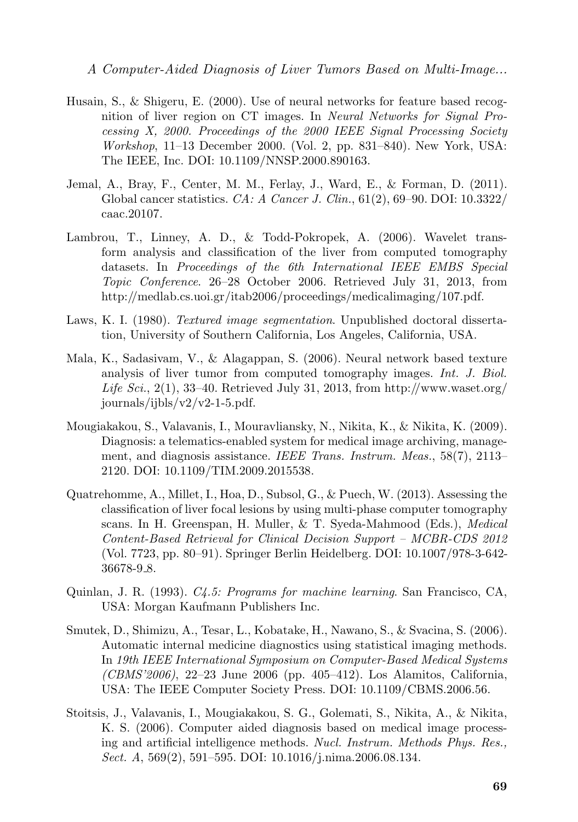- Husain, S., & Shigeru, E. (2000). Use of neural networks for feature based recognition of liver region on CT images. In *Neural Networks for Signal Processing X, 2000. Proceedings of the 2000 IEEE Signal Processing Society Workshop*, 11–13 December 2000. (Vol. 2, pp. 831–840). New York, USA: The IEEE, Inc. DOI: 10.1109/NNSP.2000.890163.
- Jemal, A., Bray, F., Center, M. M., Ferlay, J., Ward, E., & Forman, D. (2011). Global cancer statistics. *CA: A Cancer J. Clin.*, 61(2), 69–90. DOI: 10.3322/ caac.20107.
- Lambrou, T., Linney, A. D., & Todd-Pokropek, A. (2006). Wavelet transform analysis and classification of the liver from computed tomography datasets. In *Proceedings of the 6th International IEEE EMBS Special Topic Conference*. 26–28 October 2006. Retrieved July 31, 2013, from http://medlab.cs.uoi.gr/itab2006/proceedings/medicalimaging/107.pdf.
- Laws, K. I. (1980). *Textured image segmentation*. Unpublished doctoral dissertation, University of Southern California, Los Angeles, California, USA.
- Mala, K., Sadasivam, V., & Alagappan, S. (2006). Neural network based texture analysis of liver tumor from computed tomography images. *Int. J. Biol.* Life Sci., 2(1), 33–40. Retrieved July 31, 2013, from http://www.waset.org/ journals/ijbls/v2/v2-1-5.pdf.
- Mougiakakou, S., Valavanis, I., Mouravliansky, N., Nikita, K., & Nikita, K. (2009). Diagnosis: a telematics-enabled system for medical image archiving, management, and diagnosis assistance. *IEEE Trans. Instrum. Meas.*, 58(7), 2113– 2120. DOI: 10.1109/TIM.2009.2015538.
- Quatrehomme, A., Millet, I., Hoa, D., Subsol, G., & Puech, W. (2013). Assessing the classification of liver focal lesions by using multi-phase computer tomography scans. In H. Greenspan, H. Muller, & T. Syeda-Mahmood (Eds.), *Medical Content-Based Retrieval for Clinical Decision Support – MCBR-CDS 2012* (Vol. 7723, pp. 80–91). Springer Berlin Heidelberg. DOI: 10.1007/978-3-642- 36678-9 8.
- Quinlan, J. R. (1993). *C4.5: Programs for machine learning*. San Francisco, CA, USA: Morgan Kaufmann Publishers Inc.
- Smutek, D., Shimizu, A., Tesar, L., Kobatake, H., Nawano, S., & Svacina, S. (2006). Automatic internal medicine diagnostics using statistical imaging methods. In *19th IEEE International Symposium on Computer-Based Medical Systems (CBMS'2006)*, 22–23 June 2006 (pp. 405–412). Los Alamitos, California, USA: The IEEE Computer Society Press. DOI: 10.1109/CBMS.2006.56.
- Stoitsis, J., Valavanis, I., Mougiakakou, S. G., Golemati, S., Nikita, A., & Nikita, K. S. (2006). Computer aided diagnosis based on medical image processing and artificial intelligence methods. *Nucl. Instrum. Methods Phys. Res., Sect. A*, 569(2), 591–595. DOI: 10.1016/j.nima.2006.08.134.